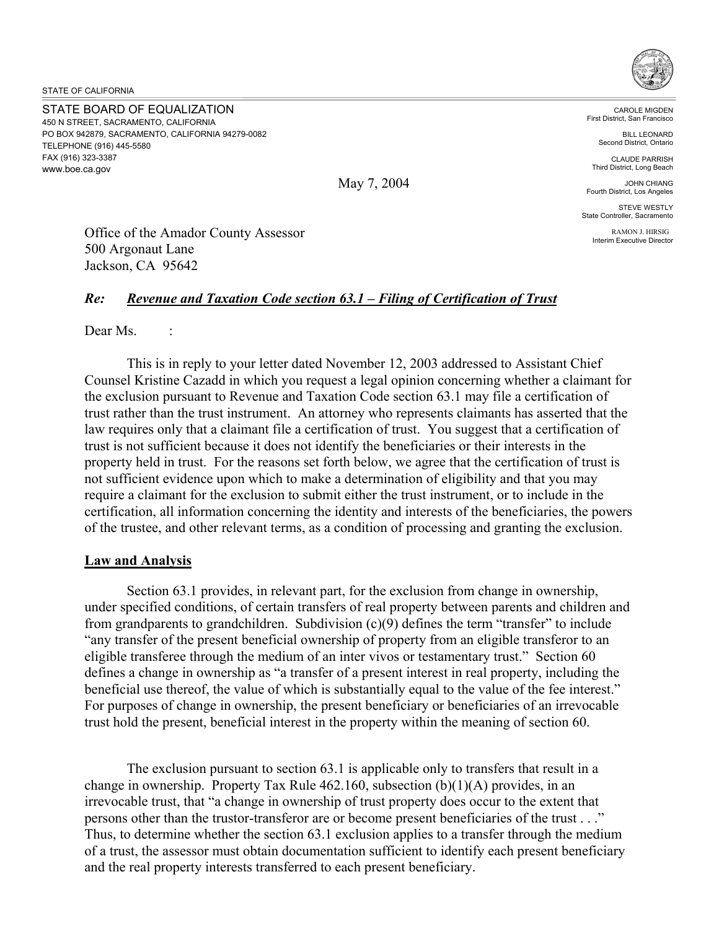STATE OF CALIFORNIA

STATE BOARD OF EQUALIZATION 450 N STREET, SACRAMENTO, CALIFORNIA PO BOX 942879, SACRAMENTO, CALIFORNIA 94279-0082 TELEPHONE (916) 445-5580 FAX (916) 323-3387 <www.boe.ca.gov>



May 7, 2004

CAROLE MIGDEN First District, San Francisco

BILL LEONARD Second District, Ontario

CLAUDE PARRISH Third District, Long Beach

JOHN CHIANG Fourth District, Los Angeles

STEVE WESTLY State Controller, Sacramento

> RAMON J. HIRSIG Interim Executive Director

Office of the Amador County Assessor 500 Argonaut Lane Jackson, CA 95642

## *Re: Revenue and Taxation Code section 63.1 – Filing of Certification of Trust*

Dear Ms. :

This is in reply to your letter dated November 12, 2003 addressed to Assistant Chief Counsel Kristine Cazadd in which you request a legal opinion concerning whether a claimant for the exclusion pursuant to Revenue and Taxation Code section 63.1 may file a certification of trust rather than the trust instrument. An attorney who represents claimants has asserted that the law requires only that a claimant file a certification of trust. You suggest that a certification of trust is not sufficient because it does not identify the beneficiaries or their interests in the property held in trust. For the reasons set forth below, we agree that the certification of trust is not sufficient evidence upon which to make a determination of eligibility and that you may require a claimant for the exclusion to submit either the trust instrument, or to include in the certification, all information concerning the identity and interests of the beneficiaries, the powers of the trustee, and other relevant terms, as a condition of processing and granting the exclusion.

## **Law and Analysis**

Section 63.1 provides, in relevant part, for the exclusion from change in ownership, under specified conditions, of certain transfers of real property between parents and children and from grandparents to grandchildren. Subdivision (c)(9) defines the term "transfer" to include "any transfer of the present beneficial ownership of property from an eligible transferor to an eligible transferee through the medium of an inter vivos or testamentary trust." Section 60 defines a change in ownership as "a transfer of a present interest in real property, including the beneficial use thereof, the value of which is substantially equal to the value of the fee interest." For purposes of change in ownership, the present beneficiary or beneficiaries of an irrevocable trust hold the present, beneficial interest in the property within the meaning of section 60.

The exclusion pursuant to section 63.1 is applicable only to transfers that result in a change in ownership. Property Tax Rule 462.160, subsection (b)(1)(A) provides, in an irrevocable trust, that "a change in ownership of trust property does occur to the extent that persons other than the trustor-transferor are or become present beneficiaries of the trust . . ." Thus, to determine whether the section 63.1 exclusion applies to a transfer through the medium of a trust, the assessor must obtain documentation sufficient to identify each present beneficiary and the real property interests transferred to each present beneficiary.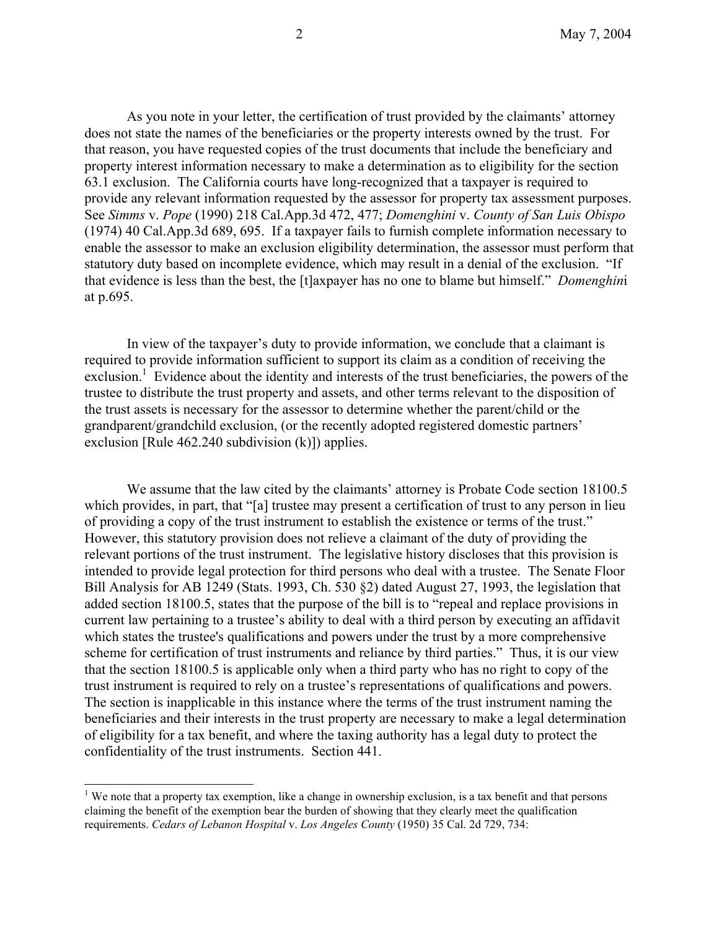As you note in your letter, the certification of trust provided by the claimants' attorney does not state the names of the beneficiaries or the property interests owned by the trust. For that reason, you have requested copies of the trust documents that include the beneficiary and property interest information necessary to make a determination as to eligibility for the section 63.1 exclusion. The California courts have long-recognized that a taxpayer is required to provide any relevant information requested by the assessor for property tax assessment purposes. See *Simms* v. *Pope* (1990) 218 [Cal.App.3d](https://Cal.App.3d) 472, 477; *Domenghini* v. *County of San Luis Obispo*  (1974) 40 [Cal.App.3d](https://Cal.App.3d) 689, 695. If a taxpayer fails to furnish complete information necessary to enable the assessor to make an exclusion eligibility determination, the assessor must perform that statutory duty based on incomplete evidence, which may result in a denial of the exclusion. "If that evidence is less than the best, the [t]axpayer has no one to blame but himself." *Domenghin*i at p.695.

In view of the taxpayer's duty to provide information, we conclude that a claimant is required to provide information sufficient to support its claim as a condition of receiving the exclusion.<sup>1</sup> Evidence about the identity and interests of the trust beneficiaries, the powers of the trustee to distribute the trust property and assets, and other terms relevant to the disposition of the trust assets is necessary for the assessor to determine whether the parent/child or the grandparent/grandchild exclusion, (or the recently adopted registered domestic partners' exclusion [Rule 462.240 subdivision (k)]) applies.

We assume that the law cited by the claimants' attorney is Probate Code section 18100.5 which provides, in part, that "[a] trustee may present a certification of trust to any person in lieu of providing a copy of the trust instrument to establish the existence or terms of the trust." However, this statutory provision does not relieve a claimant of the duty of providing the relevant portions of the trust instrument. The legislative history discloses that this provision is intended to provide legal protection for third persons who deal with a trustee. The Senate Floor Bill Analysis for AB 1249 (Stats. 1993, Ch. 530 §2) dated August 27, 1993, the legislation that added section 18100.5, states that the purpose of the bill is to "repeal and replace provisions in current law pertaining to a trustee's ability to deal with a third person by executing an affidavit which states the trustee's qualifications and powers under the trust by a more comprehensive scheme for certification of trust instruments and reliance by third parties." Thus, it is our view that the section 18100.5 is applicable only when a third party who has no right to copy of the trust instrument is required to rely on a trustee's representations of qualifications and powers. The section is inapplicable in this instance where the terms of the trust instrument naming the beneficiaries and their interests in the trust property are necessary to make a legal determination of eligibility for a tax benefit, and where the taxing authority has a legal duty to protect the confidentiality of the trust instruments. Section 441.

 $\overline{a}$ 

<sup>&</sup>lt;sup>1</sup> We note that a property tax exemption, like a change in ownership exclusion, is a tax benefit and that persons claiming the benefit of the exemption bear the burden of showing that they clearly meet the qualification requirements. *Cedars of Lebanon Hospital* v. *Los Angeles County* (1950) 35 Cal. 2d 729, 734: